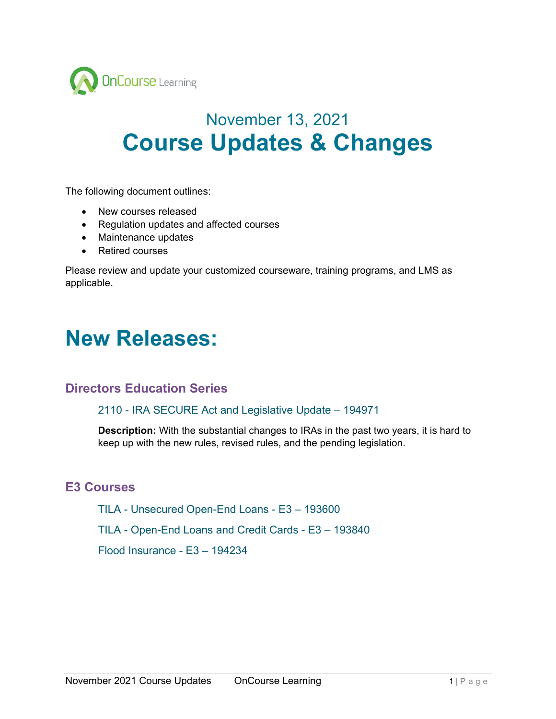

# November 13, 2021 **Course Updates & Changes**

The following document outlines:

- New courses released
- Regulation updates and affected courses
- Maintenance updates
- Retired courses

Please review and update your customized courseware, training programs, and LMS as applicable.

## **New Releases:**

### **Directors Education Series**

2110 - IRA SECURE Act and Legislative Update – 194971

**Description:** With the substantial changes to IRAs in the past two years, it is hard to keep up with the new rules, revised rules, and the pending legislation.

### **E3 Courses**

TILA - Unsecured Open-End Loans - E3 – 193600

TILA - Open-End Loans and Credit Cards - E3 – 193840

Flood Insurance - E3 – 194234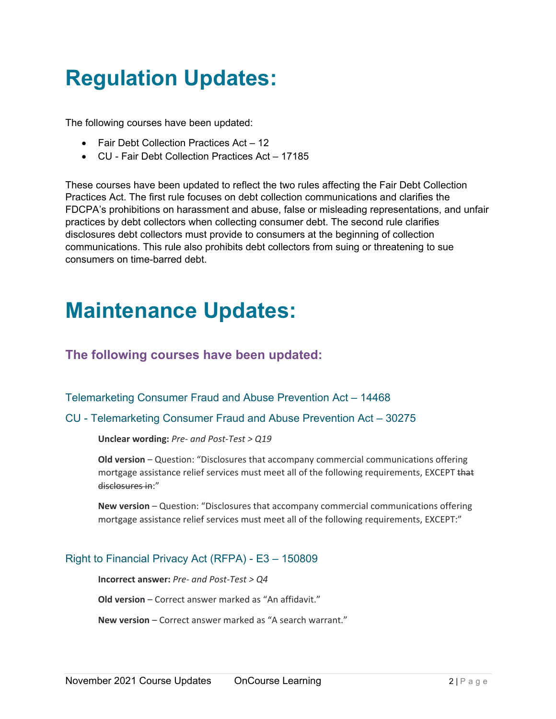# **Regulation Updates:**

The following courses have been updated:

- Fair Debt Collection Practices Act 12
- CU Fair Debt Collection Practices Act 17185

These courses have been updated to reflect the two rules affecting the Fair Debt Collection Practices Act. The first rule focuses on debt collection communications and clarifies the FDCPA's prohibitions on harassment and abuse, false or misleading representations, and unfair practices by debt collectors when collecting consumer debt. The second rule clarifies disclosures debt collectors must provide to consumers at the beginning of collection communications. This rule also prohibits debt collectors from suing or threatening to sue consumers on time-barred debt.

# **Maintenance Updates:**

## **The following courses have been updated:**

Telemarketing Consumer Fraud and Abuse Prevention Act – 14468

#### CU - Telemarketing Consumer Fraud and Abuse Prevention Act – 30275

**Unclear wording:** *Pre- and Post-Test > Q19*

**Old version** – Question: "Disclosures that accompany commercial communications offering mortgage assistance relief services must meet all of the following requirements, EXCEPT that disclosures in:"

**New version** – Question: "Disclosures that accompany commercial communications offering mortgage assistance relief services must meet all of the following requirements, EXCEPT:"

#### Right to Financial Privacy Act (RFPA) - E3 – 150809

**Incorrect answer:** *Pre- and Post-Test > Q4*

**Old version** – Correct answer marked as "An affidavit."

**New version** – Correct answer marked as "A search warrant."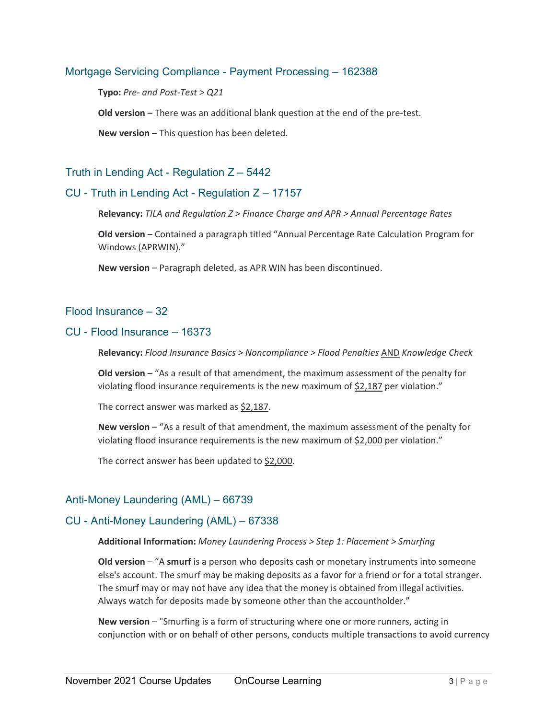#### Mortgage Servicing Compliance - Payment Processing – 162388

**Typo:** *Pre- and Post-Test > Q21*

**Old version** – There was an additional blank question at the end of the pre-test.

**New version** – This question has been deleted.

#### Truth in Lending Act - Regulation  $Z - 5442$

#### CU - Truth in Lending Act - Regulation Z – 17157

**Relevancy:** *TILA and Regulation Z > Finance Charge and APR > Annual Percentage Rates*

**Old version** – Contained a paragraph titled "Annual Percentage Rate Calculation Program for Windows (APRWIN)."

**New version** – Paragraph deleted, as APR WIN has been discontinued.

#### Flood Insurance – 32

#### CU - Flood Insurance – 16373

**Relevancy:** *Flood Insurance Basics > Noncompliance > Flood Penalties* AND *Knowledge Check*

**Old version** – "As a result of that amendment, the maximum assessment of the penalty for violating flood insurance requirements is the new maximum of \$2,187 per violation."

The correct answer was marked as \$2,187.

**New version** – "As a result of that amendment, the maximum assessment of the penalty for violating flood insurance requirements is the new maximum of \$2,000 per violation."

The correct answer has been updated to \$2,000.

#### Anti-Money Laundering (AML) – 66739

#### CU - Anti-Money Laundering (AML) – 67338

#### **Additional Information:** *Money Laundering Process > Step 1: Placement > Smurfing*

**Old version** – "A **smurf** is a person who deposits cash or monetary instruments into someone else's account. The smurf may be making deposits as a favor for a friend or for a total stranger. The smurf may or may not have any idea that the money is obtained from illegal activities. Always watch for deposits made by someone other than the accountholder."

**New version** – "Smurfing is a form of structuring where one or more runners, acting in conjunction with or on behalf of other persons, conducts multiple transactions to avoid currency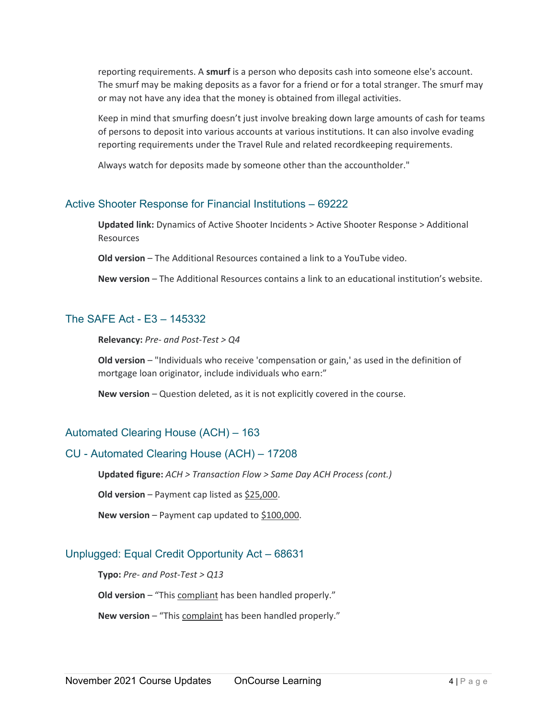reporting requirements. A **smurf** is a person who deposits cash into someone else's account. The smurf may be making deposits as a favor for a friend or for a total stranger. The smurf may or may not have any idea that the money is obtained from illegal activities.

Keep in mind that smurfing doesn't just involve breaking down large amounts of cash for teams of persons to deposit into various accounts at various institutions. It can also involve evading reporting requirements under the Travel Rule and related recordkeeping requirements.

Always watch for deposits made by someone other than the accountholder."

#### Active Shooter Response for Financial Institutions – 69222

**Updated link:** Dynamics of Active Shooter Incidents > Active Shooter Response > Additional Resources

**Old version** – The Additional Resources contained a link to a YouTube video.

**New version** – The Additional Resources contains a link to an educational institution's website.

#### The SAFE Act - E3 – 145332

**Relevancy:** *Pre- and Post-Test > Q4*

**Old version** – "Individuals who receive 'compensation or gain,' as used in the definition of mortgage loan originator, include individuals who earn:"

**New version** – Question deleted, as it is not explicitly covered in the course.

#### Automated Clearing House (ACH) – 163

#### CU - Automated Clearing House (ACH) – 17208

**Updated figure:** *ACH > Transaction Flow > Same Day ACH Process (cont.)*

**Old version** – Payment cap listed as \$25,000.

**New version** – Payment cap updated to \$100,000.

#### Unplugged: Equal Credit Opportunity Act – 68631

**Typo:** *Pre- and Post-Test > Q13*

**Old version** – "This compliant has been handled properly."

**New version** – "This complaint has been handled properly."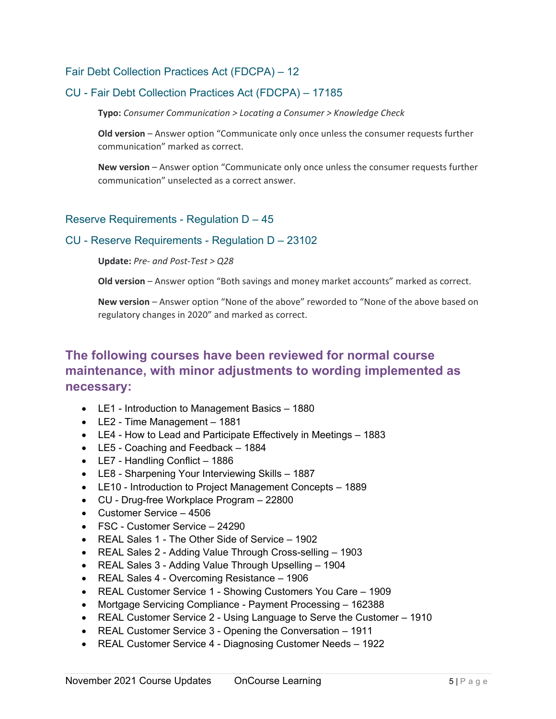#### Fair Debt Collection Practices Act (FDCPA) – 12

#### CU - Fair Debt Collection Practices Act (FDCPA) – 17185

**Typo:** *Consumer Communication > Locating a Consumer > Knowledge Check*

**Old version** – Answer option "Communicate only once unless the consumer requests further communication" marked as correct.

**New version** – Answer option "Communicate only once unless the consumer requests further communication" unselected as a correct answer.

#### Reserve Requirements - Regulation D – 45

#### CU - Reserve Requirements - Regulation D – 23102

**Update:** *Pre- and Post-Test > Q28*

**Old version** – Answer option "Both savings and money market accounts" marked as correct.

**New version** – Answer option "None of the above" reworded to "None of the above based on regulatory changes in 2020" and marked as correct.

## **The following courses have been reviewed for normal course maintenance, with minor adjustments to wording implemented as necessary:**

- LE1 Introduction to Management Basics 1880
- LE2 Time Management 1881
- LE4 How to Lead and Participate Effectively in Meetings 1883
- LE5 Coaching and Feedback 1884
- LE7 Handling Conflict 1886
- LE8 Sharpening Your Interviewing Skills 1887
- LE10 Introduction to Project Management Concepts 1889
- CU Drug-free Workplace Program 22800
- Customer Service 4506
- FSC Customer Service 24290
- REAL Sales 1 The Other Side of Service 1902
- REAL Sales 2 Adding Value Through Cross-selling 1903
- REAL Sales 3 Adding Value Through Upselling 1904
- REAL Sales 4 Overcoming Resistance 1906
- REAL Customer Service 1 Showing Customers You Care 1909
- Mortgage Servicing Compliance Payment Processing 162388
- REAL Customer Service 2 Using Language to Serve the Customer 1910
- REAL Customer Service 3 Opening the Conversation 1911
- REAL Customer Service 4 Diagnosing Customer Needs 1922